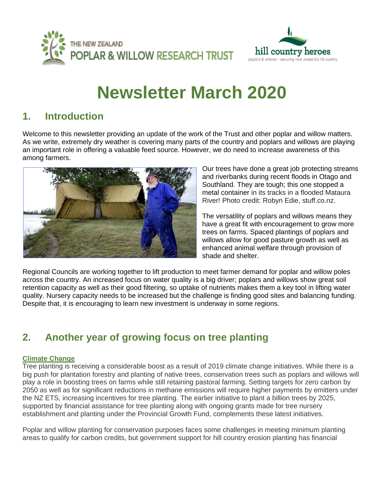



# **Newsletter March 2020**

### **1. Introduction**

Welcome to this newsletter providing an update of the work of the Trust and other poplar and willow matters. As we write, extremely dry weather is covering many parts of the country and poplars and willows are playing an important role in offering a valuable feed source. However, we do need to increase awareness of this among farmers.



Our trees have done a great job protecting streams and riverbanks during recent floods in Otago and Southland. They are tough; this one stopped a metal container in its tracks in a flooded Mataura River! Photo credit: Robyn Edie, stuff.co.nz.

The versatility of poplars and willows means they have a great fit with encouragement to grow more trees on farms. Spaced plantings of poplars and willows allow for good pasture growth as well as enhanced animal welfare through provision of shade and shelter.

Regional Councils are working together to lift production to meet farmer demand for poplar and willow poles across the country. An increased focus on water quality is a big driver; poplars and willows show great soil retention capacity as well as their good filtering, so uptake of nutrients makes them a key tool in lifting water quality. Nursery capacity needs to be increased but the challenge is finding good sites and balancing funding. Despite that, it is encouraging to learn new investment is underway in some regions.

## **2. Another year of growing focus on tree planting**

#### **Climate Change**

Tree planting is receiving a considerable boost as a result of 2019 climate change initiatives. While there is a big push for plantation forestry and planting of native trees, conservation trees such as poplars and willows will play a role in boosting trees on farms while still retaining pastoral farming. Setting targets for zero carbon by 2050 as well as for significant reductions in methane emissions will require higher payments by emitters under the NZ ETS, increasing incentives for tree planting. The earlier initiative to plant a billion trees by 2025, supported by financial assistance for tree planting along with ongoing grants made for tree nursery establishment and planting under the Provincial Growth Fund, complements these latest initiatives.

Poplar and willow planting for conservation purposes faces some challenges in meeting minimum planting areas to qualify for carbon credits, but government support for hill country erosion planting has financial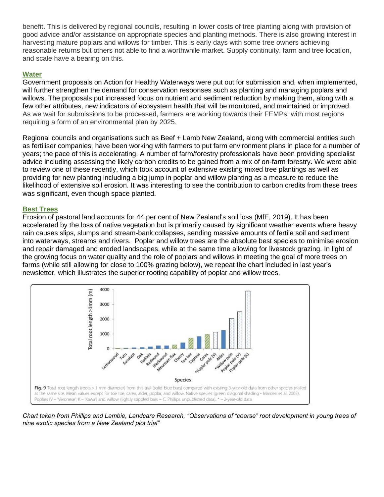benefit. This is delivered by regional councils, resulting in lower costs of tree planting along with provision of good advice and/or assistance on appropriate species and planting methods. There is also growing interest in harvesting mature poplars and willows for timber. This is early days with some tree owners achieving reasonable returns but others not able to find a worthwhile market. Supply continuity, farm and tree location, and scale have a bearing on this.

#### **Water**

Government proposals on Action for Healthy Waterways were put out for submission and, when implemented, will further strengthen the demand for conservation responses such as planting and managing poplars and willows. The proposals put increased focus on nutrient and sediment reduction by making them, along with a few other attributes, new indicators of ecosystem health that will be monitored, and maintained or improved. As we wait for submissions to be processed, farmers are working towards their FEMPs, with most regions requiring a form of an environmental plan by 2025.

Regional councils and organisations such as Beef + Lamb New Zealand, along with commercial entities such as fertiliser companies, have been working with farmers to put farm environment plans in place for a number of years; the pace of this is accelerating. A number of farm/forestry professionals have been providing specialist advice including assessing the likely carbon credits to be gained from a mix of on-farm forestry. We were able to review one of these recently, which took account of extensive existing mixed tree plantings as well as providing for new planting including a big jump in poplar and willow planting as a measure to reduce the likelihood of extensive soil erosion. It was interesting to see the contribution to carbon credits from these trees was significant, even though space planted.

#### **Best Trees**

Erosion of pastoral land accounts for 44 per cent of New Zealand's soil loss (MfE, 2019). It has been accelerated by the loss of native vegetation but is primarily caused by significant weather events where heavy rain causes slips, slumps and stream-bank collapses, sending massive amounts of fertile soil and sediment into waterways, streams and rivers. Poplar and willow trees are the absolute best species to minimise erosion and repair damaged and eroded landscapes, while at the same time allowing for livestock grazing. In light of the growing focus on water quality and the role of poplars and willows in meeting the goal of more trees on farms (while still allowing for close to 100% grazing below), we repeat the chart included in last year's newsletter, which illustrates the superior rooting capability of poplar and willow trees.



*Chart taken from Phillips and Lambie, Landcare Research, "Observations of "coarse" root development in young trees of nine exotic species from a New Zealand plot trial"*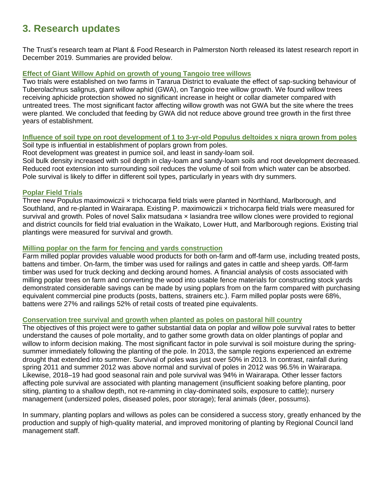## **3. Research updates**

The Trust's research team at Plant & Food Research in Palmerston North released its latest research report in December 2019. Summaries are provided below.

#### **Effect of Giant Willow Aphid on growth of young Tangoio tree willows**

Two trials were established on two farms in Tararua District to evaluate the effect of sap-sucking behaviour of Tuberolachnus salignus, giant willow aphid (GWA), on Tangoio tree willow growth. We found willow trees receiving aphicide protection showed no significant increase in height or collar diameter compared with untreated trees. The most significant factor affecting willow growth was not GWA but the site where the trees were planted. We concluded that feeding by GWA did not reduce above ground tree growth in the first three years of establishment.

### **Influence of soil type on root development of 1 to 3-yr-old Populus deltoides x nigra grown from poles**

Soil type is influential in establishment of poplars grown from poles.

Root development was greatest in pumice soil, and least in sandy-loam soil. Soil bulk density increased with soil depth in clay-loam and sandy-loam soils and root development decreased. Reduced root extension into surrounding soil reduces the volume of soil from which water can be absorbed. Pole survival is likely to differ in different soil types, particularly in years with dry summers.

#### **Poplar Field Trials**

Three new Populus maximowiczii × trichocarpa field trials were planted in Northland, Marlborough, and Southland, and re-planted in Wairarapa. Existing P. maximowiczii × trichocarpa field trials were measured for survival and growth. Poles of novel Salix matsudana x lasiandra tree willow clones were provided to regional and district councils for field trial evaluation in the Waikato, Lower Hutt, and Marlborough regions. Existing trial plantings were measured for survival and growth.

#### **Milling poplar on the farm for fencing and yards construction**

Farm milled poplar provides valuable wood products for both on-farm and off-farm use, including treated posts, battens and timber. On-farm, the timber was used for railings and gates in cattle and sheep yards. Off-farm timber was used for truck decking and decking around homes. A financial analysis of costs associated with milling poplar trees on farm and converting the wood into usable fence materials for constructing stock yards demonstrated considerable savings can be made by using poplars from on the farm compared with purchasing equivalent commercial pine products (posts, battens, strainers etc.). Farm milled poplar posts were 68%, battens were 27% and railings 52% of retail costs of treated pine equivalents.

### **Conservation tree survival and growth when planted as poles on pastoral hill country**

The objectives of this project were to gather substantial data on poplar and willow pole survival rates to better understand the causes of pole mortality, and to gather some growth data on older plantings of poplar and willow to inform decision making. The most significant factor in pole survival is soil moisture during the springsummer immediately following the planting of the pole. In 2013, the sample regions experienced an extreme drought that extended into summer. Survival of poles was just over 50% in 2013. In contrast, rainfall during spring 2011 and summer 2012 was above normal and survival of poles in 2012 was 96.5% in Wairarapa. Likewise, 2018–19 had good seasonal rain and pole survival was 94% in Wairarapa. Other lesser factors affecting pole survival are associated with planting management (insufficient soaking before planting, poor siting, planting to a shallow depth, not re-ramming in clay-dominated soils, exposure to cattle); nursery management (undersized poles, diseased poles, poor storage); feral animals (deer, possums).

In summary, planting poplars and willows as poles can be considered a success story, greatly enhanced by the production and supply of high-quality material, and improved monitoring of planting by Regional Council land management staff.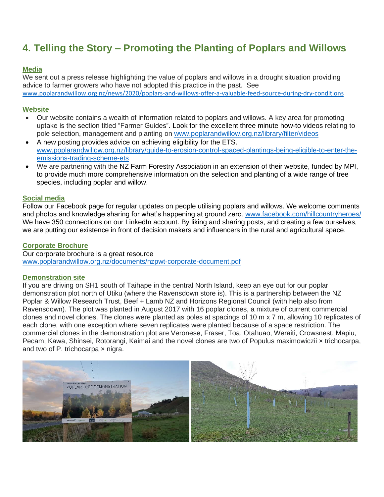## **4. Telling the Story – Promoting the Planting of Poplars and Willows**

#### **Media**

We sent out a press release highlighting the value of poplars and willows in a drought situation providing advice to farmer growers who have not adopted this practice in the past. See [www.poplarandwillow.org.nz/news/2020/poplars-and-willows-offer-a-valuable-feed-source-during-dry-conditions](http://www.poplarandwillow.org.nz/news/2020/poplars-and-willows-offer-a-valuable-feed-source-during-dry-conditions)

#### **Website**

- Our website contains a wealth of information related to poplars and willows. A key area for promoting uptake is the section titled "Farmer Guides". Look for the excellent three minute how-to videos relating to pole selection, management and planting on [www.poplarandwillow.org.nz/library/filter/videos](http://www.poplarandwillow.org.nz/library/filter/videos)
- A new posting provides advice on achieving eligibility for the ETS. [www.poplarandwillow.org.nz/library/guide-to-erosion-control-spaced-plantings-being-eligible-to-enter-the](http://www.poplarandwillow.org.nz/library/guide-to-erosion-control-spaced-plantings-being-eligible-to-enter-the-emissions-trading-scheme-ets)[emissions-trading-scheme-ets](http://www.poplarandwillow.org.nz/library/guide-to-erosion-control-spaced-plantings-being-eligible-to-enter-the-emissions-trading-scheme-ets)
- We are partnering with the NZ Farm Forestry Association in an extension of their website, funded by MPI, to provide much more comprehensive information on the selection and planting of a wide range of tree species, including poplar and willow.

#### **Social media**

Follow our Facebook page for regular updates on people utilising poplars and willows. We welcome comments and photos and knowledge sharing for what's happening at ground zero. [www.facebook.com/hillcountryheroes/](http://www.facebook.com/hillcountryheroes/) We have 350 connections on our LinkedIn account. By liking and sharing posts, and creating a few ourselves, we are putting our existence in front of decision makers and influencers in the rural and agricultural space.

#### **Corporate Brochure**

Our corporate brochure is a great resource [www.poplarandwillow.org.nz/documents/nzpwt-corporate-document.pdf](http://www.poplarandwillow.org.nz/documents/nzpwt-corporate-document.pdf)

#### **Demonstration site**

If you are driving on SH1 south of Taihape in the central North Island, keep an eye out for our poplar demonstration plot north of Utiku (where the Ravensdown store is). This is a partnership between the NZ Poplar & Willow Research Trust, Beef + Lamb NZ and Horizons Regional Council (with help also from Ravensdown). The plot was planted in August 2017 with 16 poplar clones, a mixture of current commercial clones and novel clones. The clones were planted as poles at spacings of 10 m x 7 m, allowing 10 replicates of each clone, with one exception where seven replicates were planted because of a space restriction. The commercial clones in the demonstration plot are Veronese, Fraser, Toa, Otahuao, Weraiti, Crowsnest, Mapiu, Pecam, Kawa, Shinsei, Rotorangi, Kaimai and the novel clones are two of Populus maximowiczii × trichocarpa, and two of P. trichocarpa  $\times$  nigra.